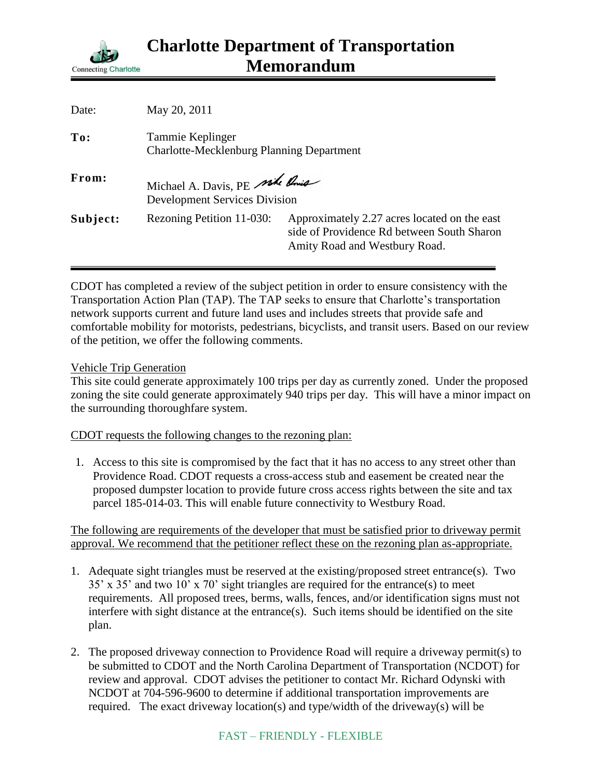

| Date:    | May 20, 2011                                                           |                                                                                                                             |
|----------|------------------------------------------------------------------------|-----------------------------------------------------------------------------------------------------------------------------|
| To:      | Tammie Keplinger<br><b>Charlotte-Mecklenburg Planning Department</b>   |                                                                                                                             |
| From:    | Michael A. Davis, PE side Pois<br><b>Development Services Division</b> |                                                                                                                             |
| Subject: | Rezoning Petition 11-030:                                              | Approximately 2.27 acres located on the east<br>side of Providence Rd between South Sharon<br>Amity Road and Westbury Road. |

CDOT has completed a review of the subject petition in order to ensure consistency with the Transportation Action Plan (TAP). The TAP seeks to ensure that Charlotte's transportation network supports current and future land uses and includes streets that provide safe and comfortable mobility for motorists, pedestrians, bicyclists, and transit users. Based on our review of the petition, we offer the following comments.

## Vehicle Trip Generation

This site could generate approximately 100 trips per day as currently zoned. Under the proposed zoning the site could generate approximately 940 trips per day. This will have a minor impact on the surrounding thoroughfare system.

CDOT requests the following changes to the rezoning plan:

1. Access to this site is compromised by the fact that it has no access to any street other than Providence Road. CDOT requests a cross-access stub and easement be created near the proposed dumpster location to provide future cross access rights between the site and tax parcel 185-014-03. This will enable future connectivity to Westbury Road.

The following are requirements of the developer that must be satisfied prior to driveway permit approval. We recommend that the petitioner reflect these on the rezoning plan as-appropriate.

- 1. Adequate sight triangles must be reserved at the existing/proposed street entrance(s). Two 35' x 35' and two 10' x 70' sight triangles are required for the entrance(s) to meet requirements. All proposed trees, berms, walls, fences, and/or identification signs must not interfere with sight distance at the entrance(s). Such items should be identified on the site plan.
- 2. The proposed driveway connection to Providence Road will require a driveway permit(s) to be submitted to CDOT and the North Carolina Department of Transportation (NCDOT) for review and approval. CDOT advises the petitioner to contact Mr. Richard Odynski with NCDOT at 704-596-9600 to determine if additional transportation improvements are required. The exact driveway location(s) and type/width of the driveway(s) will be